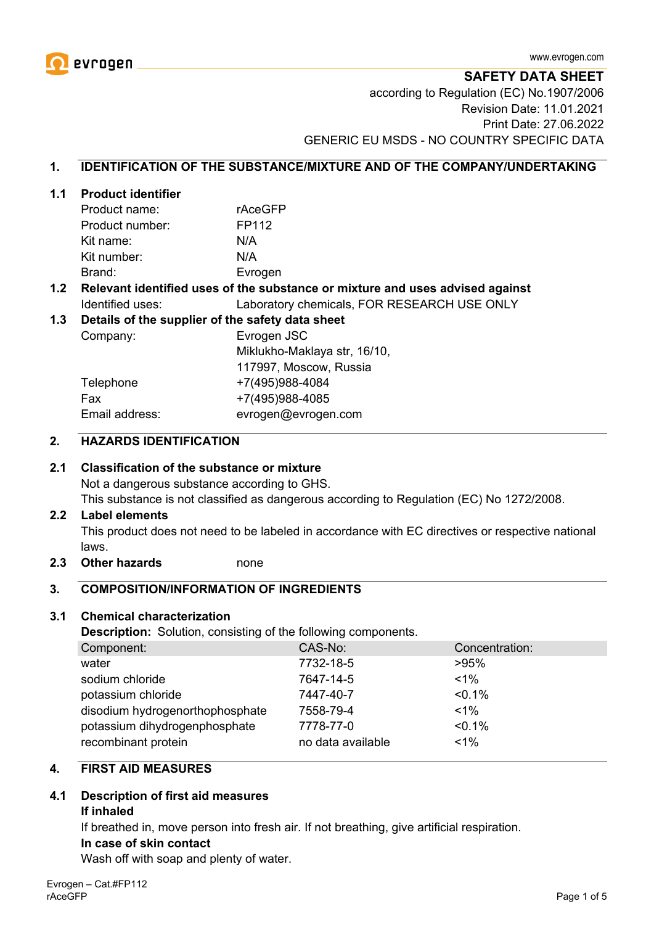

**SAFETY DATA SHEET**

according to Regulation (EC) No.1907/2006 Revision Date: 11.01.2021 Print Date: 27.06.2022 GENERIC EU MSDS - NO COUNTRY SPECIFIC DATA

## **1. IDENTIFICATION OF THE SUBSTANCE/MIXTURE AND OF THE COMPANY/UNDERTAKING**

### **1.1 Product identifier**

| Product name:   | rAceGFP |
|-----------------|---------|
| Product number: | FP112   |
| Kit name:       | N/A     |
| Kit number:     | N/A     |
| Brand:          | Evrogen |

## **1.2 Relevant identified uses of the substance or mixture and uses advised against** Identified uses: Laboratory chemicals, FOR RESEARCH USE ONLY

### **1.3 Details of the supplier of the safety data sheet**

| Evrogen JSC                  |  |
|------------------------------|--|
| Miklukho-Maklaya str, 16/10, |  |
| 117997, Moscow, Russia       |  |
| +7(495)988-4084              |  |
| +7(495)988-4085              |  |
| evrogen@evrogen.com          |  |
|                              |  |

## **2. HAZARDS IDENTIFICATION**

## **2.1 Classification of the substance or mixture**

Not a dangerous substance according to GHS.

This substance is not classified as dangerous according to Regulation (EC) No 1272/2008.

#### **2.2 Label elements**

This product does not need to be labeled in accordance with EC directives or respective national laws.

**2.3 Other hazards** none

### **3. COMPOSITION/INFORMATION OF INGREDIENTS**

#### **3.1 Chemical characterization**

**Description:** Solution, consisting of the following components.

| Component:                      | CAS-No:           | Concentration: |  |
|---------------------------------|-------------------|----------------|--|
| water                           | 7732-18-5         | >95%           |  |
| sodium chloride                 | 7647-14-5         | $1\%$          |  |
| potassium chloride              | 7447-40-7         | $< 0.1\%$      |  |
| disodium hydrogenorthophosphate | 7558-79-4         | $1\%$          |  |
| potassium dihydrogenphosphate   | 7778-77-0         | $< 0.1\%$      |  |
| recombinant protein             | no data available | $1\%$          |  |
|                                 |                   |                |  |

### **4. FIRST AID MEASURES**

# **4.1 Description of first aid measures**

## **If inhaled**

If breathed in, move person into fresh air. If not breathing, give artificial respiration.

#### **In case of skin contact**

Wash off with soap and plenty of water.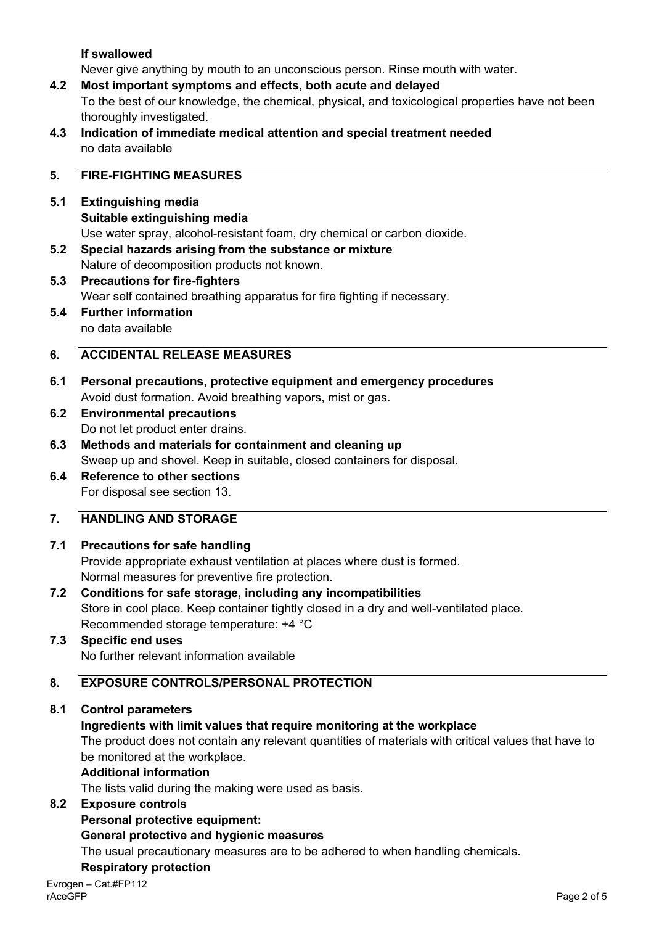## **If swallowed**

Never give anything by mouth to an unconscious person. Rinse mouth with water.

- **4.2 Most important symptoms and effects, both acute and delayed** To the best of our knowledge, the chemical, physical, and toxicological properties have not been thoroughly investigated.
- **4.3 Indication of immediate medical attention and special treatment needed** no data available

## **5. FIRE-FIGHTING MEASURES**

- **5.1 Extinguishing media Suitable extinguishing media** Use water spray, alcohol-resistant foam, dry chemical or carbon dioxide.
- **5.2 Special hazards arising from the substance or mixture** Nature of decomposition products not known.
- **5.3 Precautions for fire-fighters** Wear self contained breathing apparatus for fire fighting if necessary.
- **5.4 Further information** no data available

## **6. ACCIDENTAL RELEASE MEASURES**

- **6.1 Personal precautions, protective equipment and emergency procedures** Avoid dust formation. Avoid breathing vapors, mist or gas.
- **6.2 Environmental precautions** Do not let product enter drains.
- **6.3 Methods and materials for containment and cleaning up** Sweep up and shovel. Keep in suitable, closed containers for disposal.
- **6.4 Reference to other sections** For disposal see section 13.

## **7. HANDLING AND STORAGE**

### **7.1 Precautions for safe handling**

Provide appropriate exhaust ventilation at places where dust is formed. Normal measures for preventive fire protection.

- **7.2 Conditions for safe storage, including any incompatibilities** Store in cool place. Keep container tightly closed in a dry and well-ventilated place. Recommended storage temperature: +4 °C
- **7.3 Specific end uses** No further relevant information available

## **8. EXPOSURE CONTROLS/PERSONAL PROTECTION**

## **8.1 Control parameters**

## **Ingredients with limit values that require monitoring at the workplace**

The product does not contain any relevant quantities of materials with critical values that have to be monitored at the workplace.

## **Additional information**

The lists valid during the making were used as basis.

## **8.2 Exposure controls**

## **Personal protective equipment:**

**General protective and hygienic measures**

The usual precautionary measures are to be adhered to when handling chemicals.

## **Respiratory protection**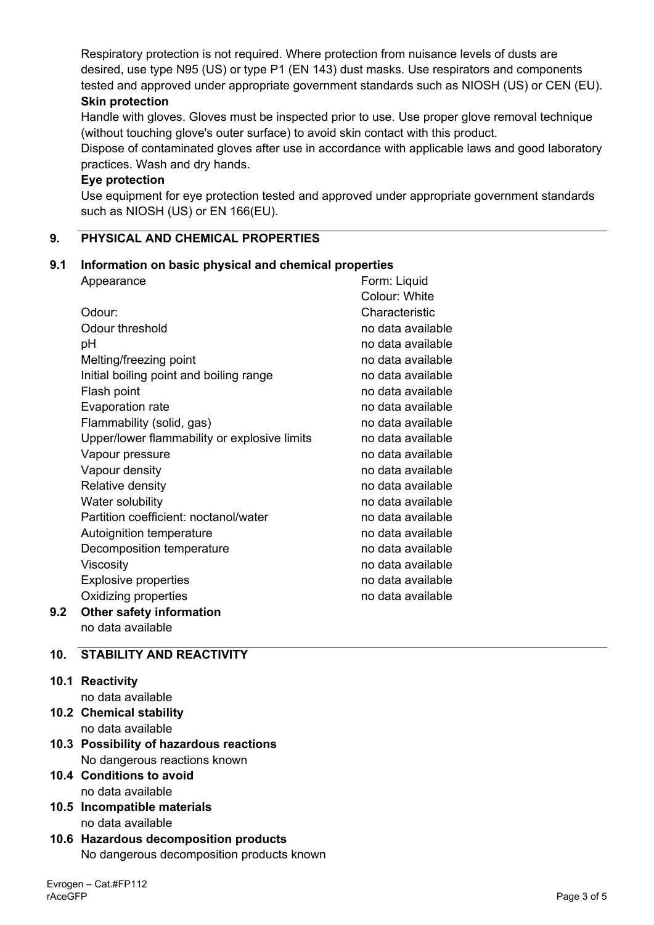Respiratory protection is not required. Where protection from nuisance levels of dusts are desired, use type N95 (US) or type P1 (EN 143) dust masks. Use respirators and components tested and approved under appropriate government standards such as NIOSH (US) or CEN (EU). **Skin protection**

Handle with gloves. Gloves must be inspected prior to use. Use proper glove removal technique (without touching glove's outer surface) to avoid skin contact with this product.

Dispose of contaminated gloves after use in accordance with applicable laws and good laboratory practices. Wash and dry hands.

## **Eye protection**

Use equipment for eye protection tested and approved under appropriate government standards such as NIOSH (US) or EN 166(EU).

## **9. PHYSICAL AND CHEMICAL PROPERTIES**

## **9.1 Information on basic physical and chemical properties**

|     | Appearance                                   | Form: Liquid      |
|-----|----------------------------------------------|-------------------|
|     |                                              | Colour: White     |
|     | Odour:                                       | Characteristic    |
|     | Odour threshold                              | no data available |
|     | pH                                           | no data available |
|     | Melting/freezing point                       | no data available |
|     | Initial boiling point and boiling range      | no data available |
|     | Flash point                                  | no data available |
|     | Evaporation rate                             | no data available |
|     | Flammability (solid, gas)                    | no data available |
|     | Upper/lower flammability or explosive limits | no data available |
|     | Vapour pressure                              | no data available |
|     | Vapour density                               | no data available |
|     | Relative density                             | no data available |
|     | Water solubility                             | no data available |
|     | Partition coefficient: noctanol/water        | no data available |
|     | Autoignition temperature                     | no data available |
|     | Decomposition temperature                    | no data available |
|     | Viscosity                                    | no data available |
|     | <b>Explosive properties</b>                  | no data available |
|     | Oxidizing properties                         | no data available |
| 9.2 | <b>Other safety information</b>              |                   |
|     | no data available                            |                   |

## **10. STABILITY AND REACTIVITY**

### **10.1 Reactivity**

no data available

- **10.2 Chemical stability** no data available
- **10.3 Possibility of hazardous reactions** No dangerous reactions known
- **10.4 Conditions to avoid** no data available
- **10.5 Incompatible materials** no data available
- **10.6 Hazardous decomposition products** No dangerous decomposition products known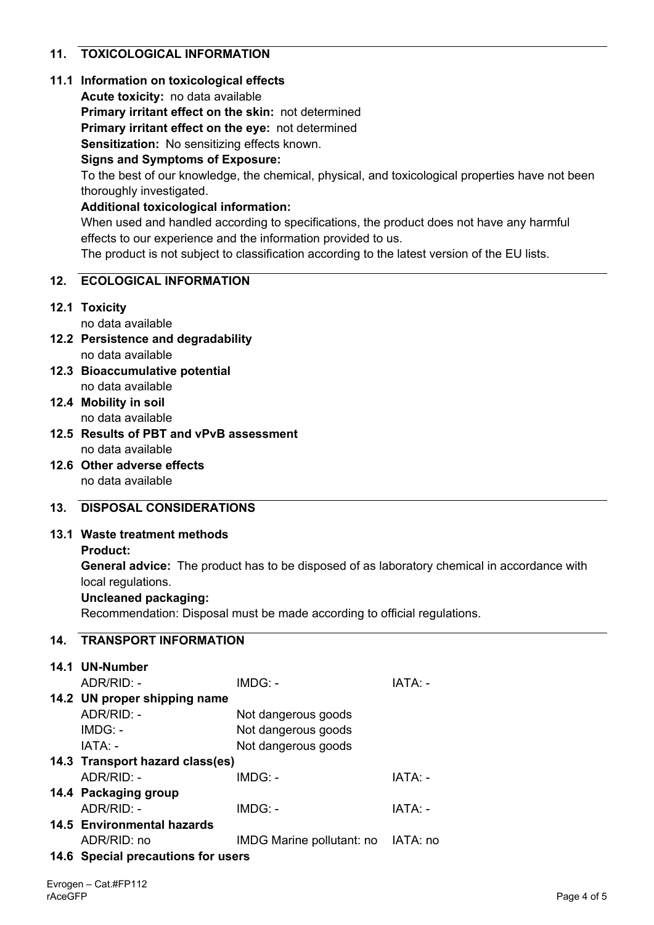## **11. TOXICOLOGICAL INFORMATION**

## **11.1 Information on toxicological effects**

**Acute toxicity:** no data available

**Primary irritant effect on the skin:** not determined

**Primary irritant effect on the eye:** not determined

**Sensitization:** No sensitizing effects known.

### **Signs and Symptoms of Exposure:**

To the best of our knowledge, the chemical, physical, and toxicological properties have not been thoroughly investigated.

### **Additional toxicological information:**

When used and handled according to specifications, the product does not have any harmful effects to our experience and the information provided to us.

The product is not subject to classification according to the latest version of the EU lists.

### **12. ECOLOGICAL INFORMATION**

**12.1 Toxicity**

no data available

- **12.2 Persistence and degradability** no data available
- **12.3 Bioaccumulative potential** no data available
- **12.4 Mobility in soil** no data available
- **12.5 Results of PBT and vPvB assessment** no data available
- **12.6 Other adverse effects** no data available

## **13. DISPOSAL CONSIDERATIONS**

## **13.1 Waste treatment methods**

**Product:**

**General advice:** The product has to be disposed of as laboratory chemical in accordance with local regulations.

### **Uncleaned packaging:**

Recommendation: Disposal must be made according to official regulations.

## **14. TRANSPORT INFORMATION**

| 14.1 UN-Number                     |                                    |         |  |
|------------------------------------|------------------------------------|---------|--|
| $ADR/RID: -$                       | $IMDG: -$                          | IATA: - |  |
| 14.2 UN proper shipping name       |                                    |         |  |
| $ADR/RID: -$                       | Not dangerous goods                |         |  |
| IMDG: -                            | Not dangerous goods                |         |  |
| IATA: -                            | Not dangerous goods                |         |  |
| 14.3 Transport hazard class(es)    |                                    |         |  |
| $ADR/RID: -$                       | $IMDG: -$                          | IATA: - |  |
| 14.4 Packaging group               |                                    |         |  |
| ADR/RID: -                         | $IMDG: -$                          | IATA: - |  |
| <b>14.5 Environmental hazards</b>  |                                    |         |  |
| ADR/RID: no                        | IMDG Marine pollutant: no IATA: no |         |  |
| 14.6 Special precautions for users |                                    |         |  |